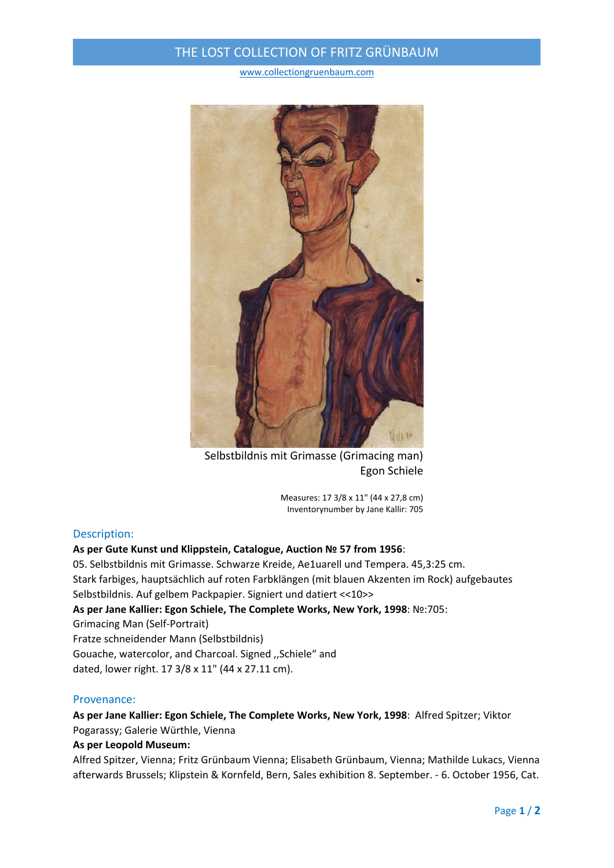# THE LOST COLLECTION OF FRITZ GRÜNBAUM

www.collectiongruenbaum.com



Selbstbildnis mit Grimasse (Grimacing man) Egon Schiele

Measures: 17 3/8 x 11" (44 x 27,8 cm) Inventorynumber by Jane Kallir: 705

### Description:

#### **As per Gute Kunst und Klippstein, Catalogue, Auction № 57 from 1956**:

05. Selbstbildnis mit Grimasse. Schwarze Kreide, Ae1uarell und Tempera. 45,3:25 cm. Stark farbiges, hauptsächlich auf roten Farbklängen (mit blauen Akzenten im Rock) aufgebautes Selbstbildnis. Auf gelbem Packpapier. Signiert und datiert <<10>> **As per Jane Kallier: Egon Schiele, The Complete Works, New York, 1998**: №:705: Grimacing Man (Self‐Portrait) Fratze schneidender Mann (Selbstbildnis) Gouache, watercolor, and Charcoal. Signed ,,Schiele" and dated, lower right. 17 3/8 x 11" (44 x 27.11 cm).

### Provenance:

## **As per Jane Kallier: Egon Schiele, The Complete Works, New York, 1998**: Alfred Spitzer; Viktor Pogarassy; Galerie Würthle, Vienna

#### **As per Leopold Museum:**

Alfred Spitzer, Vienna; Fritz Grünbaum Vienna; Elisabeth Grünbaum, Vienna; Mathilde Lukacs, Vienna afterwards Brussels; Klipstein & Kornfeld, Bern, Sales exhibition 8. September. ‐ 6. October 1956, Cat.